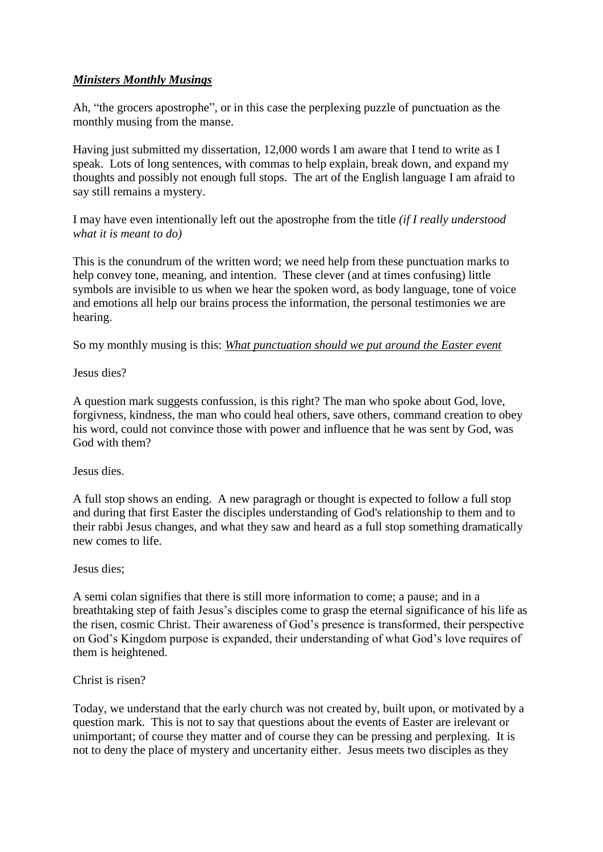## *Ministers Monthly Musings*

Ah, "the grocers apostrophe", or in this case the perplexing puzzle of punctuation as the monthly musing from the manse.

Having just submitted my dissertation, 12,000 words I am aware that I tend to write as I speak. Lots of long sentences, with commas to help explain, break down, and expand my thoughts and possibly not enough full stops. The art of the English language I am afraid to say still remains a mystery.

I may have even intentionally left out the apostrophe from the title *(if I really understood what it is meant to do)*

This is the conundrum of the written word; we need help from these punctuation marks to help convey tone, meaning, and intention. These clever (and at times confusing) little symbols are invisible to us when we hear the spoken word, as body language, tone of voice and emotions all help our brains process the information, the personal testimonies we are hearing.

So my monthly musing is this: *What punctuation should we put around the Easter event* 

Jesus dies?

A question mark suggests confussion, is this right? The man who spoke about God, love, forgivness, kindness, the man who could heal others, save others, command creation to obey his word, could not convince those with power and influence that he was sent by God, was God with them?

## Jesus dies.

A full stop shows an ending. A new paragragh or thought is expected to follow a full stop and during that first Easter the disciples understanding of God's relationship to them and to their rabbi Jesus changes, and what they saw and heard as a full stop something dramatically new comes to life.

Jesus dies;

A semi colan signifies that there is still more information to come; a pause; and in a breathtaking step of faith Jesus's disciples come to grasp the eternal significance of his life as the risen, cosmic Christ. Their awareness of God's presence is transformed, their perspective on God's Kingdom purpose is expanded, their understanding of what God's love requires of them is heightened.

## Christ is risen?

Today, we understand that the early church was not created by, built upon, or motivated by a question mark. This is not to say that questions about the events of Easter are irelevant or unimportant; of course they matter and of course they can be pressing and perplexing. It is not to deny the place of mystery and uncertanity either. Jesus meets two disciples as they